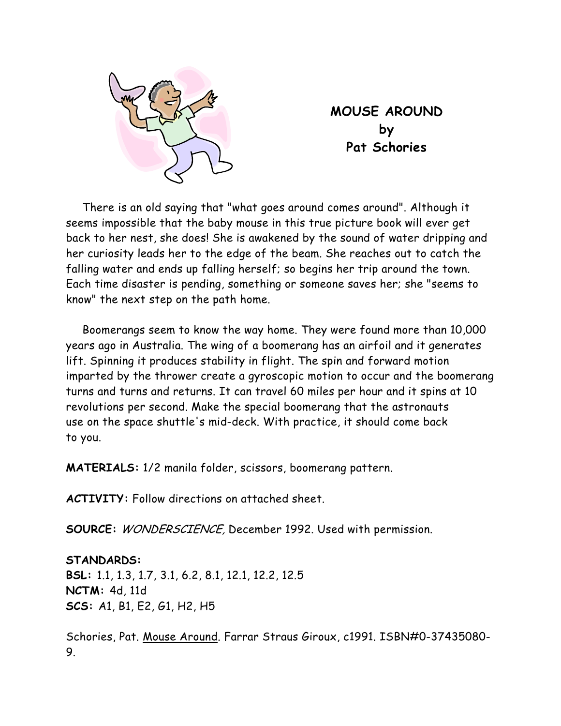

**MOUSE AROUND by Pat Schories** 

There is an old saying that "what goes around comes around". Although it seems impossible that the baby mouse in this true picture book will ever get back to her nest, she does! She is awakened by the sound of water dripping and her curiosity leads her to the edge of the beam. She reaches out to catch the falling water and ends up falling herself; so begins her trip around the town. Each time disaster is pending, something or someone saves her; she "seems to know" the next step on the path home.

Boomerangs seem to know the way home. They were found more than 10,000 years ago in Australia. The wing of a boomerang has an airfoil and it generates lift. Spinning it produces stability in flight. The spin and forward motion imparted by the thrower create a gyroscopic motion to occur and the boomerang turns and turns and returns. It can travel 60 miles per hour and it spins at 10 revolutions per second. Make the special boomerang that the astronauts use on the space shuttle's mid-deck. With practice, it should come back to you.

**MATERIALS:** 1/2 manila folder, scissors, boomerang pattern.

**ACTIVITY:** Follow directions on attached sheet.

**SOURCE:** WONDERSCIENCE, December 1992. Used with permission.

**STANDARDS: BSL:** 1.1, 1.3, 1.7, 3.1, 6.2, 8.1, 12.1, 12.2, 12.5 **NCTM:** 4d, 11d **SCS:** A1, B1, E2, G1, H2, H5

Schories, Pat. Mouse Around. Farrar Straus Giroux, c1991. ISBN#0-37435080- 9.